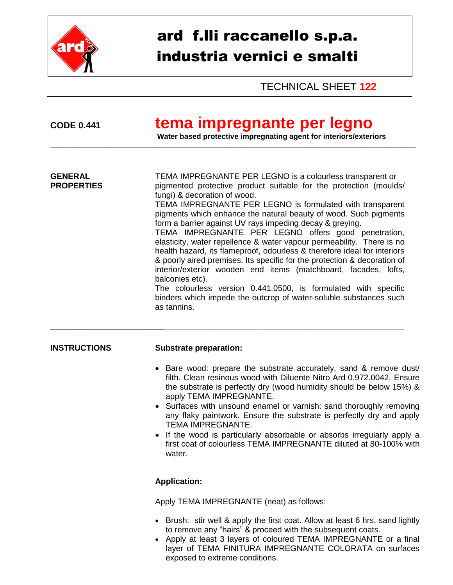

# ard f.lli raccanello s.p.a. industria vernici e smalti

TECHNICAL SHEET **122**

## **CODE 0.441 tema impregnante per legno**

\_\_\_\_\_\_\_\_\_\_\_\_\_\_\_\_\_\_\_\_\_\_\_\_\_\_\_\_\_\_\_\_\_\_\_\_\_\_\_\_\_\_\_\_\_\_\_\_\_\_\_\_\_\_\_\_\_\_\_\_\_\_\_\_\_\_\_\_\_\_\_\_\_\_\_\_\_\_\_\_\_\_\_\_\_\_\_\_\_\_\_\_\_\_\_\_\_\_\_

**Water based protective impregnating agent for interiors/exteriors**

| <b>GENERAL</b><br><b>PROPERTIES</b> | TEMA IMPREGNANTE PER LEGNO is a colourless transparent or<br>pigmented protective product suitable for the protection (moulds/<br>fungi) & decoration of wood.<br>TEMA IMPREGNANTE PER LEGNO is formulated with transparent<br>pigments which enhance the natural beauty of wood. Such pigments<br>form a barrier against UV rays impeding decay & greying.<br>TEMA IMPREGNANTE PER LEGNO offers good penetration,<br>elasticity, water repellence & water vapour permeability. There is no<br>health hazard, its flameproof, odourless & therefore ideal for interiors<br>& poorly aired premises. Its specific for the protection & decoration of<br>interior/exterior wooden end items (matchboard, facades, lofts,<br>balconies etc).<br>The colourless version 0.441.0500, is formulated with specific<br>binders which impede the outcrop of water-soluble substances such<br>as tannins. |  |  |
|-------------------------------------|-------------------------------------------------------------------------------------------------------------------------------------------------------------------------------------------------------------------------------------------------------------------------------------------------------------------------------------------------------------------------------------------------------------------------------------------------------------------------------------------------------------------------------------------------------------------------------------------------------------------------------------------------------------------------------------------------------------------------------------------------------------------------------------------------------------------------------------------------------------------------------------------------|--|--|
| <b>INSTRUCTIONS</b>                 | <b>Substrate preparation:</b><br>• Bare wood: prepare the substrate accurately, sand & remove dust/<br>filth. Clean resinous wood with Diluente Nitro Ard 0.972.0042. Ensure<br>the substrate is perfectly dry (wood humidity should be below 15%) &<br>apply TEMA IMPREGNANTE.<br>• Surfaces with unsound enamel or varnish: sand thoroughly removing<br>any flaky paintwork. Ensure the substrate is perfectly dry and apply<br>TEMA IMPREGNANTE.<br>• If the wood is particularly absorbable or absorbs irregularly apply a<br>first coat of colourless TEMA IMPREGNANTE diluted at 80-100% with<br>water.                                                                                                                                                                                                                                                                                   |  |  |
|                                     | <b>Application:</b><br>Apply TEMA IMPREGNANTE (neat) as follows:<br>• Brush: stir well & apply the first coat. Allow at least 6 hrs, sand lightly<br>to remove any "hairs" & proceed with the subsequent coats.<br>• Apply at least 3 layers of coloured TEMA IMPREGNANTE or a final                                                                                                                                                                                                                                                                                                                                                                                                                                                                                                                                                                                                            |  |  |

exposed to extreme conditions.